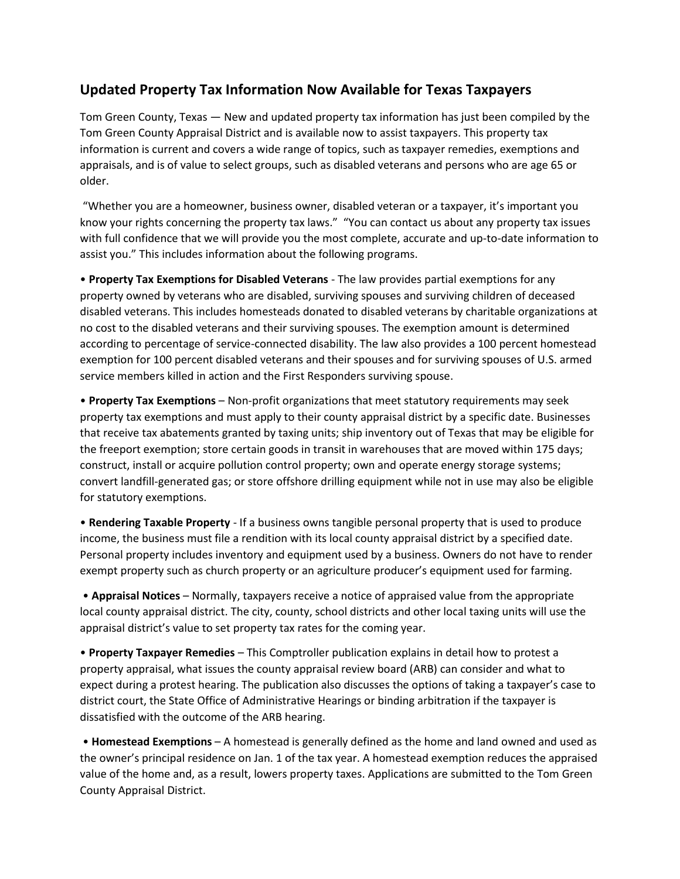## **Updated Property Tax Information Now Available for Texas Taxpayers**

Tom Green County, Texas — New and updated property tax information has just been compiled by the Tom Green County Appraisal District and is available now to assist taxpayers. This property tax information is current and covers a wide range of topics, such as taxpayer remedies, exemptions and appraisals, and is of value to select groups, such as disabled veterans and persons who are age 65 or older.

"Whether you are a homeowner, business owner, disabled veteran or a taxpayer, it's important you know your rights concerning the property tax laws." "You can contact us about any property tax issues with full confidence that we will provide you the most complete, accurate and up-to-date information to assist you." This includes information about the following programs.

• **Property Tax Exemptions for Disabled Veterans** - The law provides partial exemptions for any property owned by veterans who are disabled, surviving spouses and surviving children of deceased disabled veterans. This includes homesteads donated to disabled veterans by charitable organizations at no cost to the disabled veterans and their surviving spouses. The exemption amount is determined according to percentage of service-connected disability. The law also provides a 100 percent homestead exemption for 100 percent disabled veterans and their spouses and for surviving spouses of U.S. armed service members killed in action and the First Responders surviving spouse.

• **Property Tax Exemptions** – Non-profit organizations that meet statutory requirements may seek property tax exemptions and must apply to their county appraisal district by a specific date. Businesses that receive tax abatements granted by taxing units; ship inventory out of Texas that may be eligible for the freeport exemption; store certain goods in transit in warehouses that are moved within 175 days; construct, install or acquire pollution control property; own and operate energy storage systems; convert landfill-generated gas; or store offshore drilling equipment while not in use may also be eligible for statutory exemptions.

• **Rendering Taxable Property** - If a business owns tangible personal property that is used to produce income, the business must file a rendition with its local county appraisal district by a specified date. Personal property includes inventory and equipment used by a business. Owners do not have to render exempt property such as church property or an agriculture producer's equipment used for farming.

• **Appraisal Notices** – Normally, taxpayers receive a notice of appraised value from the appropriate local county appraisal district. The city, county, school districts and other local taxing units will use the appraisal district's value to set property tax rates for the coming year.

• **Property Taxpayer Remedies** – This Comptroller publication explains in detail how to protest a property appraisal, what issues the county appraisal review board (ARB) can consider and what to expect during a protest hearing. The publication also discusses the options of taking a taxpayer's case to district court, the State Office of Administrative Hearings or binding arbitration if the taxpayer is dissatisfied with the outcome of the ARB hearing.

• **Homestead Exemptions** – A homestead is generally defined as the home and land owned and used as the owner's principal residence on Jan. 1 of the tax year. A homestead exemption reduces the appraised value of the home and, as a result, lowers property taxes. Applications are submitted to the Tom Green County Appraisal District.